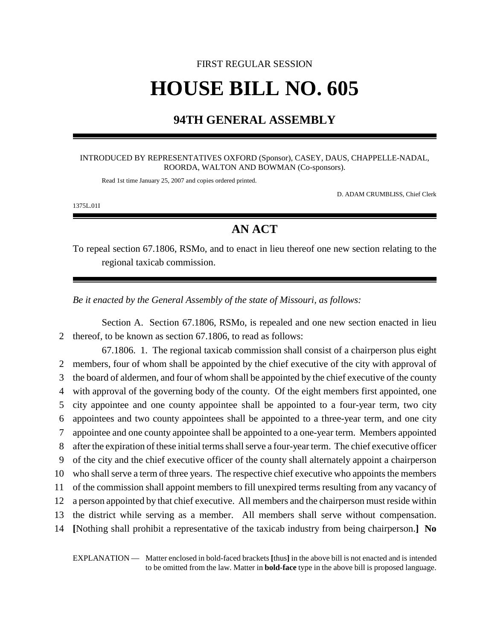# FIRST REGULAR SESSION **HOUSE BILL NO. 605**

### **94TH GENERAL ASSEMBLY**

#### INTRODUCED BY REPRESENTATIVES OXFORD (Sponsor), CASEY, DAUS, CHAPPELLE-NADAL, ROORDA, WALTON AND BOWMAN (Co-sponsors).

Read 1st time January 25, 2007 and copies ordered printed.

D. ADAM CRUMBLISS, Chief Clerk

1375L.01I

## **AN ACT**

To repeal section 67.1806, RSMo, and to enact in lieu thereof one new section relating to the regional taxicab commission.

*Be it enacted by the General Assembly of the state of Missouri, as follows:*

Section A. Section 67.1806, RSMo, is repealed and one new section enacted in lieu 2 thereof, to be known as section 67.1806, to read as follows:

67.1806. 1. The regional taxicab commission shall consist of a chairperson plus eight members, four of whom shall be appointed by the chief executive of the city with approval of the board of aldermen, and four of whom shall be appointed by the chief executive of the county with approval of the governing body of the county. Of the eight members first appointed, one city appointee and one county appointee shall be appointed to a four-year term, two city appointees and two county appointees shall be appointed to a three-year term, and one city appointee and one county appointee shall be appointed to a one-year term. Members appointed after the expiration of these initial terms shall serve a four-year term. The chief executive officer of the city and the chief executive officer of the county shall alternately appoint a chairperson who shall serve a term of three years. The respective chief executive who appoints the members of the commission shall appoint members to fill unexpired terms resulting from any vacancy of a person appointed by that chief executive. All members and the chairperson must reside within the district while serving as a member. All members shall serve without compensation. **[**Nothing shall prohibit a representative of the taxicab industry from being chairperson.**] No**

EXPLANATION — Matter enclosed in bold-faced brackets **[**thus**]** in the above bill is not enacted and is intended to be omitted from the law. Matter in **bold-face** type in the above bill is proposed language.